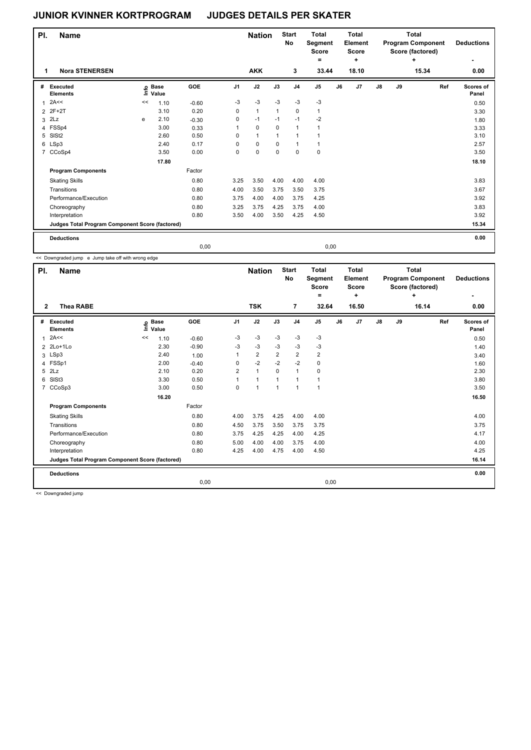| PI. | <b>Name</b>                                     |       |                   |         |                | <b>Nation</b> |              | <b>Start</b><br>No | <b>Total</b><br>Segment<br><b>Score</b><br>= |    | Total<br>Element<br><b>Score</b><br>÷ |    |    | <b>Total</b><br><b>Program Component</b><br>Score (factored)<br>٠ | <b>Deductions</b>  |
|-----|-------------------------------------------------|-------|-------------------|---------|----------------|---------------|--------------|--------------------|----------------------------------------------|----|---------------------------------------|----|----|-------------------------------------------------------------------|--------------------|
|     | <b>Nora STENERSEN</b>                           |       |                   |         |                | <b>AKK</b>    |              | 3                  | 33.44                                        |    | 18.10                                 |    |    | 15.34                                                             | 0.00               |
| #   | Executed<br><b>Elements</b>                     |       | e Base<br>⊑ Value | GOE     | J <sub>1</sub> | J2            | J3           | J <sub>4</sub>     | J <sub>5</sub>                               | J6 | J7                                    | J8 | J9 | Ref                                                               | Scores of<br>Panel |
|     | 2A<<                                            | $\,<$ | 1.10              | $-0.60$ | $-3$           | $-3$          | $-3$         | $-3$               | $-3$                                         |    |                                       |    |    |                                                                   | 0.50               |
|     | 2 2F+2T                                         |       | 3.10              | 0.20    | $\Omega$       | $\mathbf{1}$  | $\mathbf{1}$ | 0                  | $\mathbf{1}$                                 |    |                                       |    |    |                                                                   | 3.30               |
| 3   | 2Lz                                             | e     | 2.10              | $-0.30$ | 0              | $-1$          | $-1$         | $-1$               | $-2$                                         |    |                                       |    |    |                                                                   | 1.80               |
|     | 4 FSSp4                                         |       | 3.00              | 0.33    | 1              | $\mathbf 0$   | $\mathbf 0$  | $\overline{1}$     | 1                                            |    |                                       |    |    |                                                                   | 3.33               |
| 5   | SISt <sub>2</sub>                               |       | 2.60              | 0.50    | $\Omega$       | $\mathbf{1}$  | 1            |                    | 1                                            |    |                                       |    |    |                                                                   | 3.10               |
|     | 6 LSp3                                          |       | 2.40              | 0.17    | $\Omega$       | $\mathbf 0$   | $\Omega$     | 1                  | 1                                            |    |                                       |    |    |                                                                   | 2.57               |
|     | 7 CCoSp4                                        |       | 3.50              | 0.00    | 0              | 0             | 0            | $\Omega$           | $\mathbf 0$                                  |    |                                       |    |    |                                                                   | 3.50               |
|     |                                                 |       | 17.80             |         |                |               |              |                    |                                              |    |                                       |    |    |                                                                   | 18.10              |
|     | <b>Program Components</b>                       |       |                   | Factor  |                |               |              |                    |                                              |    |                                       |    |    |                                                                   |                    |
|     | <b>Skating Skills</b>                           |       |                   | 0.80    | 3.25           | 3.50          | 4.00         | 4.00               | 4.00                                         |    |                                       |    |    |                                                                   | 3.83               |
|     | Transitions                                     |       |                   | 0.80    | 4.00           | 3.50          | 3.75         | 3.50               | 3.75                                         |    |                                       |    |    |                                                                   | 3.67               |
|     | Performance/Execution                           |       |                   | 0.80    | 3.75           | 4.00          | 4.00         | 3.75               | 4.25                                         |    |                                       |    |    |                                                                   | 3.92               |
|     | Choreography                                    |       |                   | 0.80    | 3.25           | 3.75          | 4.25         | 3.75               | 4.00                                         |    |                                       |    |    |                                                                   | 3.83               |
|     | Interpretation                                  |       |                   | 0.80    | 3.50           | 4.00          | 3.50         | 4.25               | 4.50                                         |    |                                       |    |    |                                                                   | 3.92               |
|     | Judges Total Program Component Score (factored) |       |                   |         |                |               |              |                    |                                              |    |                                       |    |    |                                                                   | 15.34              |
|     | <b>Deductions</b>                               |       |                   |         |                |               |              |                    |                                              |    |                                       |    |    |                                                                   | 0.00               |
|     |                                                 |       |                   | 0,00    |                |               |              |                    | 0,00                                         |    |                                       |    |    |                                                                   |                    |

<< Downgraded jump e Jump take off with wrong edge

L

| PI.            | <b>Name</b>                                     |                            |         |                | <b>Nation</b>  |                | <b>Start</b><br>No | <b>Total</b><br>Segment<br><b>Score</b><br>Ξ. |    | <b>Total</b><br>Element<br><b>Score</b><br>÷ |               |    | <b>Total</b><br><b>Program Component</b><br>Score (factored)<br>$\ddot{}$ | <b>Deductions</b>  |
|----------------|-------------------------------------------------|----------------------------|---------|----------------|----------------|----------------|--------------------|-----------------------------------------------|----|----------------------------------------------|---------------|----|---------------------------------------------------------------------------|--------------------|
| $\mathbf{2}$   | <b>Thea RABE</b>                                |                            |         |                | <b>TSK</b>     |                | 7                  | 32.64                                         |    | 16.50                                        |               |    | 16.14                                                                     | 0.00               |
| #              | Executed<br><b>Elements</b>                     | e Base<br>E Value<br>Value | GOE     | J <sub>1</sub> | J2             | J3             | J <sub>4</sub>     | J <sub>5</sub>                                | J6 | J7                                           | $\mathsf{J}8$ | J9 | Ref                                                                       | Scores of<br>Panel |
| $\mathbf{1}$   | 2A<<                                            | <<<br>1.10                 | $-0.60$ | $-3$           | $-3$           | $-3$           | $-3$               | $-3$                                          |    |                                              |               |    |                                                                           | 0.50               |
|                | 2 2Lo+1Lo                                       | 2.30                       | $-0.90$ | $-3$           | $-3$           | $-3$           | $-3$               | $-3$                                          |    |                                              |               |    |                                                                           | 1.40               |
|                | 3 LSp3                                          | 2.40                       | 1.00    | 1              | $\overline{2}$ | $\overline{2}$ | $\overline{2}$     | $\overline{2}$                                |    |                                              |               |    |                                                                           | 3.40               |
|                | 4 FSSp1                                         | 2.00                       | $-0.40$ | 0              | $-2$           | $-2$           | $-2$               | $\pmb{0}$                                     |    |                                              |               |    |                                                                           | 1.60               |
| 5              | 2Lz                                             | 2.10                       | 0.20    | $\overline{2}$ | $\mathbf{1}$   | 0              | $\overline{1}$     | 0                                             |    |                                              |               |    |                                                                           | 2.30               |
| 6              | SISt3                                           | 3.30                       | 0.50    | $\mathbf{1}$   | $\mathbf{1}$   |                | 1                  |                                               |    |                                              |               |    |                                                                           | 3.80               |
| $\overline{7}$ | CCoSp3                                          | 3.00                       | 0.50    | 0              | $\overline{1}$ | 1              | 1                  | $\mathbf{1}$                                  |    |                                              |               |    |                                                                           | 3.50               |
|                |                                                 | 16.20                      |         |                |                |                |                    |                                               |    |                                              |               |    |                                                                           | 16.50              |
|                | <b>Program Components</b>                       |                            | Factor  |                |                |                |                    |                                               |    |                                              |               |    |                                                                           |                    |
|                | <b>Skating Skills</b>                           |                            | 0.80    | 4.00           | 3.75           | 4.25           | 4.00               | 4.00                                          |    |                                              |               |    |                                                                           | 4.00               |
|                | Transitions                                     |                            | 0.80    | 4.50           | 3.75           | 3.50           | 3.75               | 3.75                                          |    |                                              |               |    |                                                                           | 3.75               |
|                | Performance/Execution                           |                            | 0.80    | 3.75           | 4.25           | 4.25           | 4.00               | 4.25                                          |    |                                              |               |    |                                                                           | 4.17               |
|                | Choreography                                    |                            | 0.80    | 5.00           | 4.00           | 4.00           | 3.75               | 4.00                                          |    |                                              |               |    |                                                                           | 4.00               |
|                | Interpretation                                  |                            | 0.80    | 4.25           | 4.00           | 4.75           | 4.00               | 4.50                                          |    |                                              |               |    |                                                                           | 4.25               |
|                | Judges Total Program Component Score (factored) |                            |         |                |                |                |                    |                                               |    |                                              |               |    |                                                                           | 16.14              |
|                | <b>Deductions</b>                               |                            |         |                |                |                |                    |                                               |    |                                              |               |    |                                                                           | 0.00               |
|                |                                                 |                            | 0,00    |                |                |                |                    | 0,00                                          |    |                                              |               |    |                                                                           |                    |

<< Downgraded jump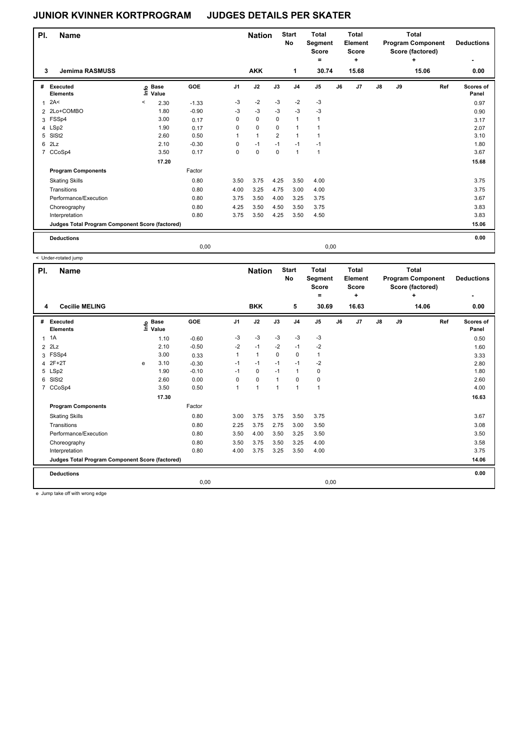| PI.          | <b>Name</b>                                     |         |                            |         |          | <b>Nation</b> |                | <b>Start</b><br>No | Total<br>Segment<br><b>Score</b><br>Ξ. |    | Total<br>Element<br><b>Score</b><br>٠ |    |    | Total<br><b>Program Component</b><br>Score (factored)<br>٠ | <b>Deductions</b>  |
|--------------|-------------------------------------------------|---------|----------------------------|---------|----------|---------------|----------------|--------------------|----------------------------------------|----|---------------------------------------|----|----|------------------------------------------------------------|--------------------|
| 3            | <b>Jemima RASMUSS</b>                           |         |                            |         |          | <b>AKK</b>    |                | 1                  | 30.74                                  |    | 15.68                                 |    |    | 15.06                                                      | 0.00               |
| #            | Executed<br><b>Elements</b>                     |         | e Base<br>≡ Value<br>Value | GOE     | J1       | J2            | J3             | J <sub>4</sub>     | J <sub>5</sub>                         | J6 | J <sub>7</sub>                        | J8 | J9 | Ref                                                        | Scores of<br>Panel |
| $\mathbf{1}$ | 2A<                                             | $\,<\,$ | 2.30                       | $-1.33$ | $-3$     | $-2$          | $-3$           | $-2$               | $-3$                                   |    |                                       |    |    |                                                            | 0.97               |
|              | 2 2Lo+COMBO                                     |         | 1.80                       | $-0.90$ | -3       | $-3$          | $-3$           | $-3$               | $-3$                                   |    |                                       |    |    |                                                            | 0.90               |
|              | 3 FSSp4                                         |         | 3.00                       | 0.17    | $\Omega$ | $\mathbf 0$   | $\Omega$       | 1                  | $\mathbf{1}$                           |    |                                       |    |    |                                                            | 3.17               |
|              | 4 LSp2                                          |         | 1.90                       | 0.17    | 0        | 0             | 0              | 1                  | 1                                      |    |                                       |    |    |                                                            | 2.07               |
| 5            | SIS <sub>t2</sub>                               |         | 2.60                       | 0.50    | 1        | $\mathbf{1}$  | $\overline{2}$ | $\mathbf{1}$       | 1                                      |    |                                       |    |    |                                                            | 3.10               |
| 6            | 2Lz                                             |         | 2.10                       | $-0.30$ | 0        | $-1$          | $-1$           | $-1$               | $-1$                                   |    |                                       |    |    |                                                            | 1.80               |
|              | 7 CCoSp4                                        |         | 3.50                       | 0.17    | 0        | 0             | 0              | 1                  | $\mathbf{1}$                           |    |                                       |    |    |                                                            | 3.67               |
|              |                                                 |         | 17.20                      |         |          |               |                |                    |                                        |    |                                       |    |    |                                                            | 15.68              |
|              | <b>Program Components</b>                       |         |                            | Factor  |          |               |                |                    |                                        |    |                                       |    |    |                                                            |                    |
|              | <b>Skating Skills</b>                           |         |                            | 0.80    | 3.50     | 3.75          | 4.25           | 3.50               | 4.00                                   |    |                                       |    |    |                                                            | 3.75               |
|              | Transitions                                     |         |                            | 0.80    | 4.00     | 3.25          | 4.75           | 3.00               | 4.00                                   |    |                                       |    |    |                                                            | 3.75               |
|              | Performance/Execution                           |         |                            | 0.80    | 3.75     | 3.50          | 4.00           | 3.25               | 3.75                                   |    |                                       |    |    |                                                            | 3.67               |
|              | Choreography                                    |         |                            | 0.80    | 4.25     | 3.50          | 4.50           | 3.50               | 3.75                                   |    |                                       |    |    |                                                            | 3.83               |
|              | Interpretation                                  |         |                            | 0.80    | 3.75     | 3.50          | 4.25           | 3.50               | 4.50                                   |    |                                       |    |    |                                                            | 3.83               |
|              | Judges Total Program Component Score (factored) |         |                            |         |          |               |                |                    |                                        |    |                                       |    |    |                                                            | 15.06              |
|              | <b>Deductions</b>                               |         |                            |         |          |               |                |                    |                                        |    |                                       |    |    |                                                            | 0.00               |
|              |                                                 |         |                            | 0,00    |          |               |                |                    | 0,00                                   |    |                                       |    |    |                                                            |                    |

< Under-rotated jump

| PI.            | <b>Name</b>                                     |   |                   |         |                | <b>Nation</b> |                | <b>Start</b><br>No | <b>Total</b><br>Segment<br><b>Score</b> |    | <b>Total</b><br>Element<br><b>Score</b> |    |    | <b>Total</b><br><b>Program Component</b><br>Score (factored) | <b>Deductions</b>  |
|----------------|-------------------------------------------------|---|-------------------|---------|----------------|---------------|----------------|--------------------|-----------------------------------------|----|-----------------------------------------|----|----|--------------------------------------------------------------|--------------------|
|                |                                                 |   |                   |         |                |               |                |                    | Ξ.                                      |    | ٠                                       |    |    | $\ddot{}$                                                    |                    |
| 4              | <b>Cecilie MELING</b>                           |   |                   |         |                | <b>BKK</b>    |                | 5                  | 30.69                                   |    | 16.63                                   |    |    | 14.06                                                        | 0.00               |
| #              | Executed<br><b>Elements</b>                     |   | e Base<br>⊆ Value | GOE     | J <sub>1</sub> | J2            | J3             | J <sub>4</sub>     | J <sub>5</sub>                          | J6 | J7                                      | J8 | J9 | Ref                                                          | Scores of<br>Panel |
| 1              | 1A                                              |   | 1.10              | $-0.60$ | $-3$           | $-3$          | $-3$           | $-3$               | $-3$                                    |    |                                         |    |    |                                                              | 0.50               |
| $\overline{2}$ | 2Lz                                             |   | 2.10              | $-0.50$ | $-2$           | $-1$          | $-2$           | $-1$               | $-2$                                    |    |                                         |    |    |                                                              | 1.60               |
| 3              | FSSp4                                           |   | 3.00              | 0.33    | 1              | $\mathbf{1}$  | $\mathbf 0$    | $\mathbf 0$        | $\mathbf{1}$                            |    |                                         |    |    |                                                              | 3.33               |
| 4              | 2F+2T                                           | е | 3.10              | $-0.30$ | $-1$           | $-1$          | $-1$           | $-1$               | -2                                      |    |                                         |    |    |                                                              | 2.80               |
|                | 5 LSp2                                          |   | 1.90              | $-0.10$ | $-1$           | 0             | $-1$           | $\overline{1}$     | 0                                       |    |                                         |    |    |                                                              | 1.80               |
| 6              | SISt <sub>2</sub>                               |   | 2.60              | 0.00    | 0              | $\mathbf 0$   | $\overline{1}$ | $\mathbf 0$        | 0                                       |    |                                         |    |    |                                                              | 2.60               |
| $\overline{7}$ | CCoSp4                                          |   | 3.50              | 0.50    | 1              | $\mathbf{1}$  | 1              | $\overline{1}$     | 1                                       |    |                                         |    |    |                                                              | 4.00               |
|                |                                                 |   | 17.30             |         |                |               |                |                    |                                         |    |                                         |    |    |                                                              | 16.63              |
|                | <b>Program Components</b>                       |   |                   | Factor  |                |               |                |                    |                                         |    |                                         |    |    |                                                              |                    |
|                | <b>Skating Skills</b>                           |   |                   | 0.80    | 3.00           | 3.75          | 3.75           | 3.50               | 3.75                                    |    |                                         |    |    |                                                              | 3.67               |
|                | Transitions                                     |   |                   | 0.80    | 2.25           | 3.75          | 2.75           | 3.00               | 3.50                                    |    |                                         |    |    |                                                              | 3.08               |
|                | Performance/Execution                           |   |                   | 0.80    | 3.50           | 4.00          | 3.50           | 3.25               | 3.50                                    |    |                                         |    |    |                                                              | 3.50               |
|                | Choreography                                    |   |                   | 0.80    | 3.50           | 3.75          | 3.50           | 3.25               | 4.00                                    |    |                                         |    |    |                                                              | 3.58               |
|                | Interpretation                                  |   |                   | 0.80    | 4.00           | 3.75          | 3.25           | 3.50               | 4.00                                    |    |                                         |    |    |                                                              | 3.75               |
|                | Judges Total Program Component Score (factored) |   |                   |         |                |               |                |                    |                                         |    |                                         |    |    |                                                              | 14.06              |
|                | <b>Deductions</b>                               |   |                   |         |                |               |                |                    |                                         |    |                                         |    |    |                                                              | 0.00               |
|                |                                                 |   |                   | 0,00    |                |               |                |                    | 0,00                                    |    |                                         |    |    |                                                              |                    |

e Jump take off with wrong edge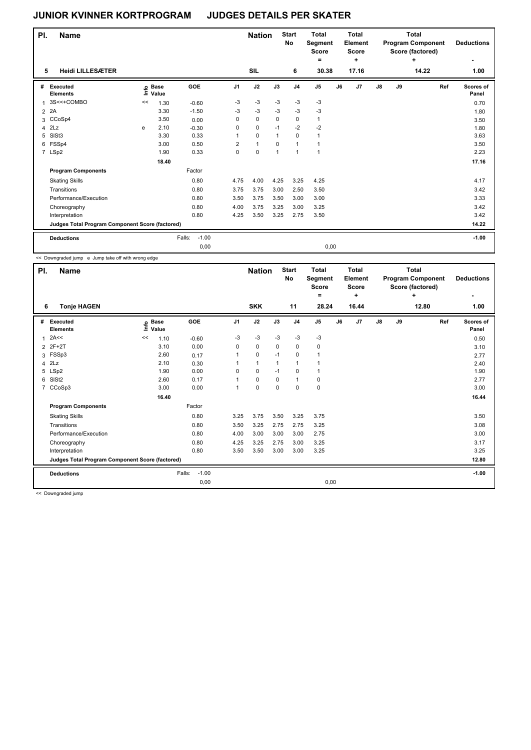| PI. | <b>Name</b>                                     |    |                      |                   |                | <b>Nation</b> |              | <b>Start</b><br>No | <b>Total</b><br>Segment<br><b>Score</b><br>Ξ. |    | <b>Total</b><br>Element<br>Score<br>÷ |    |    | <b>Total</b><br><b>Program Component</b><br>Score (factored)<br>٠ | <b>Deductions</b>  |
|-----|-------------------------------------------------|----|----------------------|-------------------|----------------|---------------|--------------|--------------------|-----------------------------------------------|----|---------------------------------------|----|----|-------------------------------------------------------------------|--------------------|
| 5   | <b>Heidi LILLESÆTER</b>                         |    |                      |                   |                | SIL           |              | 6                  | 30.38                                         |    | 17.16                                 |    |    | 14.22                                                             | 1.00               |
| #   | Executed<br><b>Elements</b>                     | ۴ô | <b>Base</b><br>Value | GOE               | J1             | J2            | J3           | J <sub>4</sub>     | J <sub>5</sub>                                | J6 | J7                                    | J8 | J9 | Ref                                                               | Scores of<br>Panel |
| 1   | 3S<<+COMBO                                      | << | 1.30                 | $-0.60$           | $-3$           | $-3$          | $-3$         | $-3$               | -3                                            |    |                                       |    |    |                                                                   | 0.70               |
|     | 2 2A                                            |    | 3.30                 | $-1.50$           | $-3$           | $-3$          | $-3$         | $-3$               | $-3$                                          |    |                                       |    |    |                                                                   | 1.80               |
| 3   | CCoSp4                                          |    | 3.50                 | 0.00              | $\Omega$       | $\mathbf 0$   | 0            | 0                  | $\mathbf{1}$                                  |    |                                       |    |    |                                                                   | 3.50               |
| 4   | 2Lz                                             | e  | 2.10                 | $-0.30$           | 0              | 0             | $-1$         | $-2$               | $-2$                                          |    |                                       |    |    |                                                                   | 1.80               |
| 5   | SISt <sub>3</sub>                               |    | 3.30                 | 0.33              |                | 0             | $\mathbf{1}$ | 0                  | $\mathbf{1}$                                  |    |                                       |    |    |                                                                   | 3.63               |
| 6   | FSSp4                                           |    | 3.00                 | 0.50              | $\overline{2}$ | $\mathbf{1}$  | 0            | 1                  | 1                                             |    |                                       |    |    |                                                                   | 3.50               |
|     | 7 LSp2                                          |    | 1.90                 | 0.33              | 0              | 0             | 1            | 1                  | 1                                             |    |                                       |    |    |                                                                   | 2.23               |
|     |                                                 |    | 18.40                |                   |                |               |              |                    |                                               |    |                                       |    |    |                                                                   | 17.16              |
|     | <b>Program Components</b>                       |    |                      | Factor            |                |               |              |                    |                                               |    |                                       |    |    |                                                                   |                    |
|     | <b>Skating Skills</b>                           |    |                      | 0.80              | 4.75           | 4.00          | 4.25         | 3.25               | 4.25                                          |    |                                       |    |    |                                                                   | 4.17               |
|     | Transitions                                     |    |                      | 0.80              | 3.75           | 3.75          | 3.00         | 2.50               | 3.50                                          |    |                                       |    |    |                                                                   | 3.42               |
|     | Performance/Execution                           |    |                      | 0.80              | 3.50           | 3.75          | 3.50         | 3.00               | 3.00                                          |    |                                       |    |    |                                                                   | 3.33               |
|     | Choreography                                    |    |                      | 0.80              | 4.00           | 3.75          | 3.25         | 3.00               | 3.25                                          |    |                                       |    |    |                                                                   | 3.42               |
|     | Interpretation                                  |    |                      | 0.80              | 4.25           | 3.50          | 3.25         | 2.75               | 3.50                                          |    |                                       |    |    |                                                                   | 3.42               |
|     | Judges Total Program Component Score (factored) |    |                      |                   |                |               |              |                    |                                               |    |                                       |    |    |                                                                   | 14.22              |
|     | <b>Deductions</b>                               |    |                      | $-1.00$<br>Falls: |                |               |              |                    |                                               |    |                                       |    |    |                                                                   | $-1.00$            |
|     |                                                 |    |                      | 0,00              |                |               |              |                    | 0,00                                          |    |                                       |    |    |                                                                   |                    |

<< Downgraded jump e Jump take off with wrong edge

| PI.            | <b>Name</b>                                     |    |                      |                   |                | <b>Nation</b> |                | <b>Start</b><br><b>No</b> | <b>Total</b><br>Segment<br><b>Score</b><br>۰ |    | <b>Total</b><br>Element<br><b>Score</b><br>÷ |               |    | <b>Total</b><br><b>Program Component</b><br>Score (factored)<br>÷ | <b>Deductions</b>  |
|----------------|-------------------------------------------------|----|----------------------|-------------------|----------------|---------------|----------------|---------------------------|----------------------------------------------|----|----------------------------------------------|---------------|----|-------------------------------------------------------------------|--------------------|
| 6              | <b>Tonje HAGEN</b>                              |    |                      |                   |                | <b>SKK</b>    |                | 11                        | 28.24                                        |    | 16.44                                        |               |    | 12.80                                                             | 1.00               |
| #              | Executed<br><b>Elements</b>                     | ۴۵ | <b>Base</b><br>Value | GOE               | J <sub>1</sub> | J2            | J3             | J <sub>4</sub>            | J <sub>5</sub>                               | J6 | J7                                           | $\mathsf{J}8$ | J9 | Ref                                                               | Scores of<br>Panel |
| 1              | 2A<<                                            | << | 1.10                 | $-0.60$           | $-3$           | $-3$          | $-3$           | $-3$                      | $-3$                                         |    |                                              |               |    |                                                                   | 0.50               |
| $\overline{2}$ | $2F+2T$                                         |    | 3.10                 | 0.00              | 0              | 0             | 0              | 0                         | 0                                            |    |                                              |               |    |                                                                   | 3.10               |
| 3              | FSSp3                                           |    | 2.60                 | 0.17              |                | $\Omega$      | $-1$           | $\Omega$                  | $\blacktriangleleft$                         |    |                                              |               |    |                                                                   | 2.77               |
| 4              | 2Lz                                             |    | 2.10                 | 0.30              |                | $\mathbf{1}$  | $\overline{1}$ | $\mathbf{1}$              | 1                                            |    |                                              |               |    |                                                                   | 2.40               |
| 5              | LSp2                                            |    | 1.90                 | 0.00              | 0              | $\mathbf 0$   | $-1$           | $\mathbf 0$               | $\mathbf{1}$                                 |    |                                              |               |    |                                                                   | 1.90               |
| 6              | SISt <sub>2</sub>                               |    | 2.60                 | 0.17              |                | 0             | 0              | $\mathbf{1}$              | 0                                            |    |                                              |               |    |                                                                   | 2.77               |
| $\overline{7}$ | CCoSp3                                          |    | 3.00                 | 0.00              | 1              | $\mathbf 0$   | $\Omega$       | $\mathbf 0$               | $\mathbf 0$                                  |    |                                              |               |    |                                                                   | 3.00               |
|                |                                                 |    | 16.40                |                   |                |               |                |                           |                                              |    |                                              |               |    |                                                                   | 16.44              |
|                | <b>Program Components</b>                       |    |                      | Factor            |                |               |                |                           |                                              |    |                                              |               |    |                                                                   |                    |
|                | <b>Skating Skills</b>                           |    |                      | 0.80              | 3.25           | 3.75          | 3.50           | 3.25                      | 3.75                                         |    |                                              |               |    |                                                                   | 3.50               |
|                | Transitions                                     |    |                      | 0.80              | 3.50           | 3.25          | 2.75           | 2.75                      | 3.25                                         |    |                                              |               |    |                                                                   | 3.08               |
|                | Performance/Execution                           |    |                      | 0.80              | 4.00           | 3.00          | 3.00           | 3.00                      | 2.75                                         |    |                                              |               |    |                                                                   | 3.00               |
|                | Choreography                                    |    |                      | 0.80              | 4.25           | 3.25          | 2.75           | 3.00                      | 3.25                                         |    |                                              |               |    |                                                                   | 3.17               |
|                | Interpretation                                  |    |                      | 0.80              | 3.50           | 3.50          | 3.00           | 3.00                      | 3.25                                         |    |                                              |               |    |                                                                   | 3.25               |
|                | Judges Total Program Component Score (factored) |    |                      |                   |                |               |                |                           |                                              |    |                                              |               |    |                                                                   | 12.80              |
|                | <b>Deductions</b>                               |    |                      | $-1.00$<br>Falls: |                |               |                |                           |                                              |    |                                              |               |    |                                                                   | $-1.00$            |
|                |                                                 |    |                      | 0,00              |                |               |                |                           | 0,00                                         |    |                                              |               |    |                                                                   |                    |

<< Downgraded jump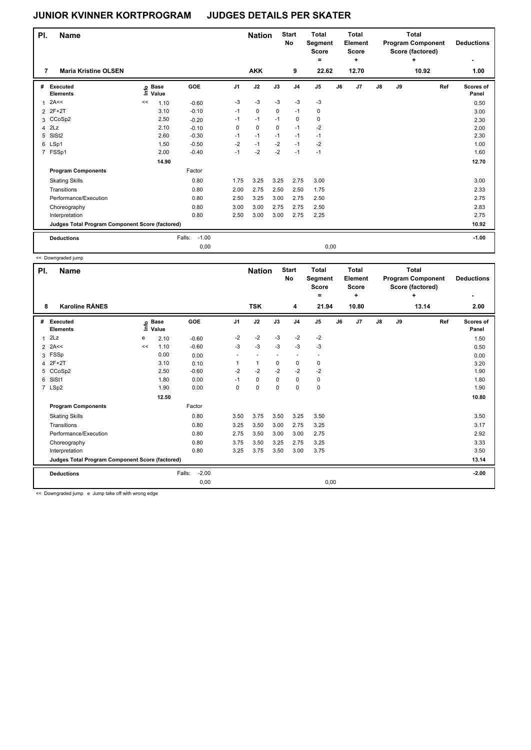| PI. | <b>Name</b>                                     |    |                                  |                   |                | <b>Nation</b> |             | <b>Start</b><br>No | <b>Total</b><br>Segment<br><b>Score</b><br>۰ |    | Total<br>Element<br><b>Score</b><br>٠ |    |    | Total<br><b>Program Component</b><br>Score (factored)<br>٠ | <b>Deductions</b>  |
|-----|-------------------------------------------------|----|----------------------------------|-------------------|----------------|---------------|-------------|--------------------|----------------------------------------------|----|---------------------------------------|----|----|------------------------------------------------------------|--------------------|
| 7   | <b>Maria Kristine OLSEN</b>                     |    |                                  |                   |                | <b>AKK</b>    |             | 9                  | 22.62                                        |    | 12.70                                 |    |    | 10.92                                                      | 1.00               |
| #   | Executed<br><b>Elements</b>                     |    | <b>Base</b><br>e Base<br>⊑ Value | GOE               | J <sub>1</sub> | J2            | J3          | J <sub>4</sub>     | J <sub>5</sub>                               | J6 | J <sub>7</sub>                        | J8 | J9 | Ref                                                        | Scores of<br>Panel |
|     | 2A<<                                            | << | 1.10                             | $-0.60$           | $-3$           | $-3$          | $-3$        | $-3$               | $-3$                                         |    |                                       |    |    |                                                            | 0.50               |
|     | 2 2F+2T                                         |    | 3.10                             | $-0.10$           | $-1$           | 0             | $\mathbf 0$ | $-1$               | 0                                            |    |                                       |    |    |                                                            | 3.00               |
|     | 3 CCoSp2                                        |    | 2.50                             | $-0.20$           | $-1$           | $-1$          | $-1$        | 0                  | 0                                            |    |                                       |    |    |                                                            | 2.30               |
|     | $4$ $2Lz$                                       |    | 2.10                             | $-0.10$           | 0              | $\mathbf 0$   | $\Omega$    | $-1$               | $-2$                                         |    |                                       |    |    |                                                            | 2.00               |
| 5   | SIS <sub>t2</sub>                               |    | 2.60                             | $-0.30$           | $-1$           | $-1$          | $-1$        | $-1$               | $-1$                                         |    |                                       |    |    |                                                            | 2.30               |
|     | 6 LSp1                                          |    | 1.50                             | $-0.50$           | $-2$           | $-1$          | $-2$        | $-1$               | $-2$                                         |    |                                       |    |    |                                                            | 1.00               |
|     | 7 FSSp1                                         |    | 2.00                             | $-0.40$           | $-1$           | $-2$          | $-2$        | $-1$               | $-1$                                         |    |                                       |    |    |                                                            | 1.60               |
|     |                                                 |    | 14.90                            |                   |                |               |             |                    |                                              |    |                                       |    |    |                                                            | 12.70              |
|     | <b>Program Components</b>                       |    |                                  | Factor            |                |               |             |                    |                                              |    |                                       |    |    |                                                            |                    |
|     | <b>Skating Skills</b>                           |    |                                  | 0.80              | 1.75           | 3.25          | 3.25        | 2.75               | 3.00                                         |    |                                       |    |    |                                                            | 3.00               |
|     | Transitions                                     |    |                                  | 0.80              | 2.00           | 2.75          | 2.50        | 2.50               | 1.75                                         |    |                                       |    |    |                                                            | 2.33               |
|     | Performance/Execution                           |    |                                  | 0.80              | 2.50           | 3.25          | 3.00        | 2.75               | 2.50                                         |    |                                       |    |    |                                                            | 2.75               |
|     | Choreography                                    |    |                                  | 0.80              | 3.00           | 3.00          | 2.75        | 2.75               | 2.50                                         |    |                                       |    |    |                                                            | 2.83               |
|     | Interpretation                                  |    |                                  | 0.80              | 2.50           | 3.00          | 3.00        | 2.75               | 2.25                                         |    |                                       |    |    |                                                            | 2.75               |
|     | Judges Total Program Component Score (factored) |    |                                  |                   |                |               |             |                    |                                              |    |                                       |    |    |                                                            | 10.92              |
|     | <b>Deductions</b>                               |    |                                  | $-1.00$<br>Falls: |                |               |             |                    |                                              |    |                                       |    |    |                                                            | $-1.00$            |
|     |                                                 |    |                                  | 0.00              |                |               |             |                    | 0.00                                         |    |                                       |    |    |                                                            |                    |

<< Downgraded jump

| PI. | <b>Name</b>                                     |    |                            |                   |                | <b>Nation</b> |      | <b>Start</b><br><b>No</b> | <b>Total</b><br>Segment<br><b>Score</b><br>Ξ. |    | <b>Total</b><br>Element<br><b>Score</b><br>÷ |               |    | <b>Total</b><br><b>Program Component</b><br>Score (factored)<br>÷ | <b>Deductions</b>         |
|-----|-------------------------------------------------|----|----------------------------|-------------------|----------------|---------------|------|---------------------------|-----------------------------------------------|----|----------------------------------------------|---------------|----|-------------------------------------------------------------------|---------------------------|
| 8   | <b>Karoline RÅNES</b>                           |    |                            |                   |                | <b>TSK</b>    |      | 4                         | 21.94                                         |    | 10.80                                        |               |    | 13.14                                                             | 2.00                      |
| #   | Executed<br><b>Elements</b>                     |    | e Base<br>⊆ Value<br>Value | GOE               | J <sub>1</sub> | J2            | J3   | J <sub>4</sub>            | J <sub>5</sub>                                | J6 | J7                                           | $\mathsf{J}8$ | J9 | Ref                                                               | <b>Scores of</b><br>Panel |
| 1   | 2Lz                                             | е  | 2.10                       | $-0.60$           | $-2$           | $-2$          | $-3$ | $-2$                      | $-2$                                          |    |                                              |               |    |                                                                   | 1.50                      |
| 2   | 2A<<                                            | << | 1.10                       | $-0.60$           | $-3$           | $-3$          | $-3$ | $-3$                      | $-3$                                          |    |                                              |               |    |                                                                   | 0.50                      |
| 3   | FSSp                                            |    | 0.00                       | 0.00              |                |               |      | $\overline{\phantom{a}}$  |                                               |    |                                              |               |    |                                                                   | 0.00                      |
| 4   | $2F+2T$                                         |    | 3.10                       | 0.10              |                | $\mathbf{1}$  | 0    | 0                         | 0                                             |    |                                              |               |    |                                                                   | 3.20                      |
| 5   | CCoSp2                                          |    | 2.50                       | $-0.60$           | $-2$           | $-2$          | $-2$ | $-2$                      | $-2$                                          |    |                                              |               |    |                                                                   | 1.90                      |
| 6   | SISt1                                           |    | 1.80                       | 0.00              | $-1$           | $\mathbf 0$   | 0    | 0                         | 0                                             |    |                                              |               |    |                                                                   | 1.80                      |
|     | 7 LSp2                                          |    | 1.90                       | 0.00              | 0              | $\mathbf 0$   | 0    | $\mathbf 0$               | 0                                             |    |                                              |               |    |                                                                   | 1.90                      |
|     |                                                 |    | 12.50                      |                   |                |               |      |                           |                                               |    |                                              |               |    |                                                                   | 10.80                     |
|     | <b>Program Components</b>                       |    |                            | Factor            |                |               |      |                           |                                               |    |                                              |               |    |                                                                   |                           |
|     | <b>Skating Skills</b>                           |    |                            | 0.80              | 3.50           | 3.75          | 3.50 | 3.25                      | 3.50                                          |    |                                              |               |    |                                                                   | 3.50                      |
|     | Transitions                                     |    |                            | 0.80              | 3.25           | 3.50          | 3.00 | 2.75                      | 3.25                                          |    |                                              |               |    |                                                                   | 3.17                      |
|     | Performance/Execution                           |    |                            | 0.80              | 2.75           | 3.50          | 3.00 | 3.00                      | 2.75                                          |    |                                              |               |    |                                                                   | 2.92                      |
|     | Choreography                                    |    |                            | 0.80              | 3.75           | 3.50          | 3.25 | 2.75                      | 3.25                                          |    |                                              |               |    |                                                                   | 3.33                      |
|     | Interpretation                                  |    |                            | 0.80              | 3.25           | 3.75          | 3.50 | 3.00                      | 3.75                                          |    |                                              |               |    |                                                                   | 3.50                      |
|     | Judges Total Program Component Score (factored) |    |                            |                   |                |               |      |                           |                                               |    |                                              |               |    |                                                                   | 13.14                     |
|     | <b>Deductions</b>                               |    |                            | $-2.00$<br>Falls: |                |               |      |                           |                                               |    |                                              |               |    |                                                                   | $-2.00$                   |
|     |                                                 |    |                            | 0,00              |                |               |      |                           | 0,00                                          |    |                                              |               |    |                                                                   |                           |

<< Downgraded jump e Jump take off with wrong edge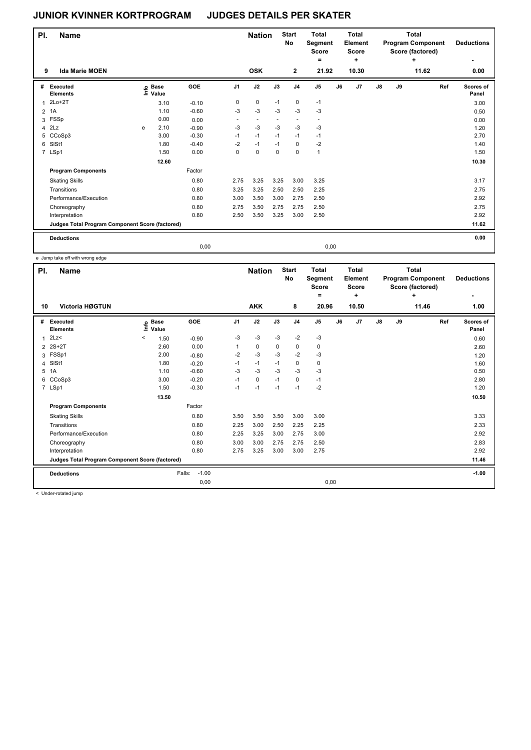| PI.            | <b>Name</b>                                     |   |                   |         |                | <b>Nation</b>            |             | <b>Start</b><br>No | <b>Total</b><br>Segment<br><b>Score</b><br>= |      | Total<br>Element<br><b>Score</b><br>÷ |               |    | Total<br><b>Program Component</b><br>Score (factored)<br>٠ | <b>Deductions</b>  |
|----------------|-------------------------------------------------|---|-------------------|---------|----------------|--------------------------|-------------|--------------------|----------------------------------------------|------|---------------------------------------|---------------|----|------------------------------------------------------------|--------------------|
| 9              | <b>Ida Marie MOEN</b>                           |   |                   |         |                | <b>OSK</b>               |             | $\mathbf{2}$       | 21.92                                        |      | 10.30                                 |               |    | 11.62                                                      | 0.00               |
| #              | Executed<br><b>Elements</b>                     |   | e Base<br>⊆ Value | GOE     | J <sub>1</sub> | J2                       | J3          | J <sub>4</sub>     | J <sub>5</sub>                               | J6   | J7                                    | $\mathsf{J}8$ | J9 | Ref                                                        | Scores of<br>Panel |
|                | $2Lo+2T$                                        |   | 3.10              | $-0.10$ | 0              | $\mathbf 0$              | $-1$        | 0                  | $-1$                                         |      |                                       |               |    |                                                            | 3.00               |
| $\overline{2}$ | 1A                                              |   | 1.10              | $-0.60$ | $-3$           | $-3$                     | $-3$        | $-3$               | $-3$                                         |      |                                       |               |    |                                                            | 0.50               |
| 3              | FSSp                                            |   | 0.00              | 0.00    | ٠              | $\overline{\phantom{a}}$ | $\sim$      | $\sim$             | $\sim$                                       |      |                                       |               |    |                                                            | 0.00               |
|                | 4 2Lz                                           | e | 2.10              | $-0.90$ | $-3$           | $-3$                     | $-3$        | $-3$               | $-3$                                         |      |                                       |               |    |                                                            | 1.20               |
|                | 5 CCoSp3                                        |   | 3.00              | $-0.30$ | $-1$           | $-1$                     | $-1$        | $-1$               | $-1$                                         |      |                                       |               |    |                                                            | 2.70               |
|                | 6 SISt1                                         |   | 1.80              | $-0.40$ | $-2$           | $-1$                     | $-1$        | $\Omega$           | $-2$                                         |      |                                       |               |    |                                                            | 1.40               |
|                | 7 LSp1                                          |   | 1.50              | 0.00    | 0              | $\pmb{0}$                | $\mathbf 0$ | $\mathbf 0$        | $\mathbf{1}$                                 |      |                                       |               |    |                                                            | 1.50               |
|                |                                                 |   | 12.60             |         |                |                          |             |                    |                                              |      |                                       |               |    |                                                            | 10.30              |
|                | <b>Program Components</b>                       |   |                   | Factor  |                |                          |             |                    |                                              |      |                                       |               |    |                                                            |                    |
|                | <b>Skating Skills</b>                           |   |                   | 0.80    | 2.75           | 3.25                     | 3.25        | 3.00               | 3.25                                         |      |                                       |               |    |                                                            | 3.17               |
|                | Transitions                                     |   |                   | 0.80    | 3.25           | 3.25                     | 2.50        | 2.50               | 2.25                                         |      |                                       |               |    |                                                            | 2.75               |
|                | Performance/Execution                           |   |                   | 0.80    | 3.00           | 3.50                     | 3.00        | 2.75               | 2.50                                         |      |                                       |               |    |                                                            | 2.92               |
|                | Choreography                                    |   |                   | 0.80    | 2.75           | 3.50                     | 2.75        | 2.75               | 2.50                                         |      |                                       |               |    |                                                            | 2.75               |
|                | Interpretation                                  |   |                   | 0.80    | 2.50           | 3.50                     | 3.25        | 3.00               | 2.50                                         |      |                                       |               |    |                                                            | 2.92               |
|                | Judges Total Program Component Score (factored) |   |                   |         |                |                          |             |                    |                                              |      |                                       |               |    |                                                            | 11.62              |
|                | <b>Deductions</b>                               |   |                   |         |                |                          |             |                    |                                              |      |                                       |               |    |                                                            | 0.00               |
|                |                                                 |   |                   | 0,00    |                |                          |             |                    |                                              | 0,00 |                                       |               |    |                                                            |                    |

e Jump take off with wrong edge

| PI.            | Name                                            |         |                            |                   |                | <b>Nation</b> |      | <b>Start</b><br>No | <b>Total</b><br>Segment<br><b>Score</b><br>= |    | <b>Total</b><br>Element<br><b>Score</b><br>÷ |               |    | <b>Total</b><br><b>Program Component</b><br>Score (factored)<br>÷ | <b>Deductions</b><br>٠    |
|----------------|-------------------------------------------------|---------|----------------------------|-------------------|----------------|---------------|------|--------------------|----------------------------------------------|----|----------------------------------------------|---------------|----|-------------------------------------------------------------------|---------------------------|
| 10             | Victoria HØGTUN                                 |         |                            |                   |                | <b>AKK</b>    |      | 8                  | 20.96                                        |    | 10.50                                        |               |    | 11.46                                                             | 1.00                      |
| #              | Executed<br><b>Elements</b>                     |         | e Base<br>≡ Value<br>Value | <b>GOE</b>        | J <sub>1</sub> | J2            | J3   | J <sub>4</sub>     | J <sub>5</sub>                               | J6 | J7                                           | $\mathsf{J}8$ | J9 | Ref                                                               | <b>Scores of</b><br>Panel |
| 1              | 2Lz                                             | $\,<\,$ | 1.50                       | $-0.90$           | $-3$           | $-3$          | $-3$ | $-2$               | -3                                           |    |                                              |               |    |                                                                   | 0.60                      |
| $\overline{2}$ | $2S+2T$                                         |         | 2.60                       | 0.00              | 1              | 0             | 0    | 0                  | 0                                            |    |                                              |               |    |                                                                   | 2.60                      |
| 3              | FSSp1                                           |         | 2.00                       | $-0.80$           | $-2$           | $-3$          | $-3$ | $-2$               | $-3$                                         |    |                                              |               |    |                                                                   | 1.20                      |
| 4              | SISt1                                           |         | 1.80                       | $-0.20$           | $-1$           | $-1$          | $-1$ | 0                  | 0                                            |    |                                              |               |    |                                                                   | 1.60                      |
| 5              | 1A                                              |         | 1.10                       | $-0.60$           | $-3$           | $-3$          | $-3$ | $-3$               | $-3$                                         |    |                                              |               |    |                                                                   | 0.50                      |
| 6              | CCoSp3                                          |         | 3.00                       | $-0.20$           | $-1$           | $\mathbf 0$   | $-1$ | $\mathbf 0$        | $-1$                                         |    |                                              |               |    |                                                                   | 2.80                      |
|                | 7 LSp1                                          |         | 1.50                       | $-0.30$           | $-1$           | $-1$          | $-1$ | $-1$               | $-2$                                         |    |                                              |               |    |                                                                   | 1.20                      |
|                |                                                 |         | 13.50                      |                   |                |               |      |                    |                                              |    |                                              |               |    |                                                                   | 10.50                     |
|                | <b>Program Components</b>                       |         |                            | Factor            |                |               |      |                    |                                              |    |                                              |               |    |                                                                   |                           |
|                | <b>Skating Skills</b>                           |         |                            | 0.80              | 3.50           | 3.50          | 3.50 | 3.00               | 3.00                                         |    |                                              |               |    |                                                                   | 3.33                      |
|                | Transitions                                     |         |                            | 0.80              | 2.25           | 3.00          | 2.50 | 2.25               | 2.25                                         |    |                                              |               |    |                                                                   | 2.33                      |
|                | Performance/Execution                           |         |                            | 0.80              | 2.25           | 3.25          | 3.00 | 2.75               | 3.00                                         |    |                                              |               |    |                                                                   | 2.92                      |
|                | Choreography                                    |         |                            | 0.80              | 3.00           | 3.00          | 2.75 | 2.75               | 2.50                                         |    |                                              |               |    |                                                                   | 2.83                      |
|                | Interpretation                                  |         |                            | 0.80              | 2.75           | 3.25          | 3.00 | 3.00               | 2.75                                         |    |                                              |               |    |                                                                   | 2.92                      |
|                | Judges Total Program Component Score (factored) |         |                            |                   |                |               |      |                    |                                              |    |                                              |               |    |                                                                   | 11.46                     |
|                | <b>Deductions</b>                               |         |                            | $-1.00$<br>Falls: |                |               |      |                    |                                              |    |                                              |               |    |                                                                   | $-1.00$                   |
|                |                                                 |         |                            | 0,00              |                |               |      |                    | 0,00                                         |    |                                              |               |    |                                                                   |                           |

< Under-rotated jump